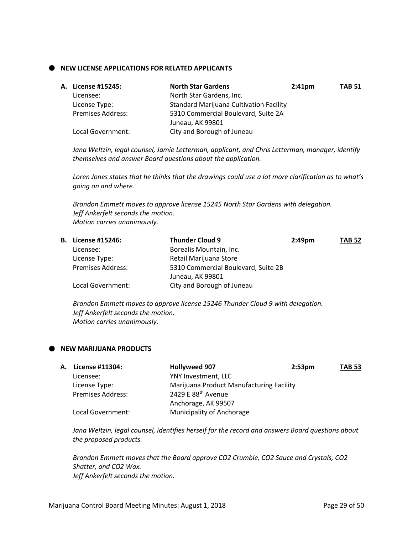### **NEW LICENSE APPLICATIONS FOR RELATED APPLICANTS**

| A. License #15245:       | <b>North Star Gardens</b>                      | $2:41$ pm | <b>TAB 51</b> |
|--------------------------|------------------------------------------------|-----------|---------------|
| Licensee:                | North Star Gardens, Inc.                       |           |               |
| License Type:            | <b>Standard Marijuana Cultivation Facility</b> |           |               |
| <b>Premises Address:</b> | 5310 Commercial Boulevard, Suite 2A            |           |               |
|                          | Juneau, AK 99801                               |           |               |
| Local Government:        | City and Borough of Juneau                     |           |               |

*Jana Weltzin, legal counsel, Jamie Letterman, applicant, and Chris Letterman, manager, identify themselves and answer Board questions about the application.*

*Loren Jones states that he thinks that the drawings could use a lot more clarification as to what's going on and where.*

*Brandon Emmett moves to approve license 15245 North Star Gardens with delegation. Jeff Ankerfelt seconds the motion. Motion carries unanimously.*

| <b>B.</b> License #15246: | <b>Thunder Cloud 9</b>              | $2:49$ pm | <b>TAB 52</b> |
|---------------------------|-------------------------------------|-----------|---------------|
| Licensee:                 | Borealis Mountain, Inc.             |           |               |
| License Type:             | Retail Marijuana Store              |           |               |
| <b>Premises Address:</b>  | 5310 Commercial Boulevard, Suite 2B |           |               |
|                           | Juneau, AK 99801                    |           |               |
| Local Government:         | City and Borough of Juneau          |           |               |
|                           |                                     |           |               |

*Brandon Emmett moves to approve license 15246 Thunder Cloud 9 with delegation. Jeff Ankerfelt seconds the motion. Motion carries unanimously.*

#### **NEW MARIJUANA PRODUCTS**

| А. | License #11304:          | <b>Hollyweed 907</b>                     | 2:53 <sub>pm</sub> | <b>TAB 53</b> |
|----|--------------------------|------------------------------------------|--------------------|---------------|
|    | Licensee:                | YNY Investment, LLC                      |                    |               |
|    | License Type:            | Marijuana Product Manufacturing Facility |                    |               |
|    | <b>Premises Address:</b> | 2429 E 88 <sup>th</sup> Avenue           |                    |               |
|    |                          | Anchorage, AK 99507                      |                    |               |
|    | Local Government:        | Municipality of Anchorage                |                    |               |

*Jana Weltzin, legal counsel, identifies herself for the record and answers Board questions about the proposed products.*

*Brandon Emmett moves that the Board approve CO2 Crumble, CO2 Sauce and Crystals, CO2 Shatter, and CO2 Wax. Jeff Ankerfelt seconds the motion.*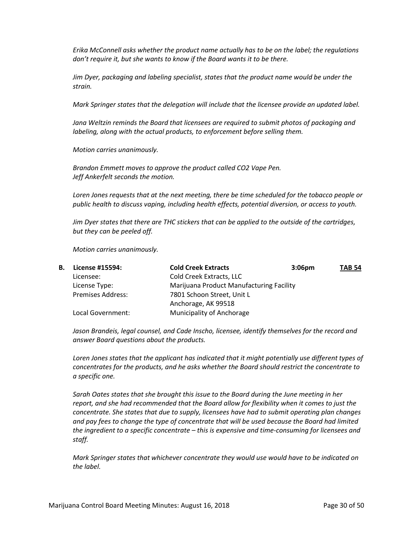*Erika McConnell asks whether the product name actually has to be on the label; the regulations don't require it, but she wants to know if the Board wants it to be there.*

*Jim Dyer, packaging and labeling specialist, states that the product name would be under the strain.*

*Mark Springer states that the delegation will include that the licensee provide an updated label.*

*Jana Weltzin reminds the Board that licensees are required to submit photos of packaging and labeling, along with the actual products, to enforcement before selling them.*

*Motion carries unanimously.*

*Brandon Emmett moves to approve the product called CO2 Vape Pen. Jeff Ankerfelt seconds the motion.*

Loren Jones requests that at the next meeting, there be time scheduled for the tobacco people or *public health to discuss vaping, including health effects, potential diversion, or access to youth.*

*Jim Dyer states that there are THC stickers that can be applied to the outside of the cartridges, but they can be peeled off.*

*Motion carries unanimously.*

| В. | License #15594:          | <b>Cold Creek Extracts</b>               | 3:06 <sub>pm</sub> | <b>TAB 54</b> |
|----|--------------------------|------------------------------------------|--------------------|---------------|
|    | Licensee:                | Cold Creek Extracts, LLC                 |                    |               |
|    | License Type:            | Marijuana Product Manufacturing Facility |                    |               |
|    | <b>Premises Address:</b> | 7801 Schoon Street, Unit L               |                    |               |
|    |                          | Anchorage, AK 99518                      |                    |               |
|    | Local Government:        | Municipality of Anchorage                |                    |               |

*Jason Brandeis, legal counsel, and Cade Inscho, licensee, identify themselves for the record and answer Board questions about the products.*

*Loren Jones states that the applicant has indicated that it might potentially use different types of concentrates for the products, and he asks whether the Board should restrict the concentrate to a specific one.*

*Sarah Oates states that she brought this issue to the Board during the June meeting in her report, and she had recommended that the Board allow for flexibility when it comes to just the concentrate. She states that due to supply, licensees have had to submit operating plan changes and pay fees to change the type of concentrate that will be used because the Board had limited the ingredient to a specific concentrate – this is expensive and time-consuming for licensees and staff.*

*Mark Springer states that whichever concentrate they would use would have to be indicated on the label.*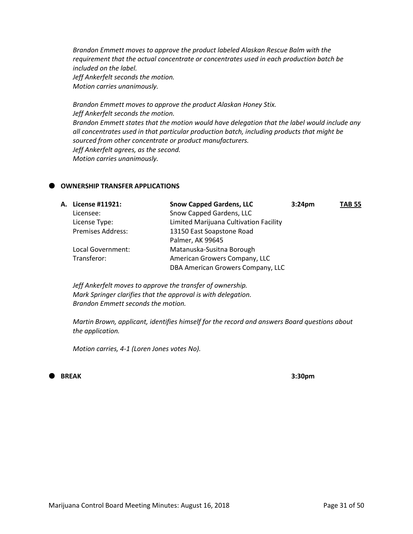*Brandon Emmett moves to approve the product labeled Alaskan Rescue Balm with the requirement that the actual concentrate or concentrates used in each production batch be included on the label. Jeff Ankerfelt seconds the motion. Motion carries unanimously.*

*Brandon Emmett moves to approve the product Alaskan Honey Stix. Jeff Ankerfelt seconds the motion. Brandon Emmett states that the motion would have delegation that the label would include any all concentrates used in that particular production batch, including products that might be sourced from other concentrate or product manufacturers. Jeff Ankerfelt agrees, as the second. Motion carries unanimously.*

### **OWNERSHIP TRANSFER APPLICATIONS**

| A. License #11921:       | <b>Snow Capped Gardens, LLC</b>        | 3:24 <sub>pm</sub> | <b>TAB 55</b> |
|--------------------------|----------------------------------------|--------------------|---------------|
| Licensee:                | Snow Capped Gardens, LLC               |                    |               |
| License Type:            | Limited Marijuana Cultivation Facility |                    |               |
| <b>Premises Address:</b> | 13150 East Soapstone Road              |                    |               |
|                          | Palmer, AK 99645                       |                    |               |
| Local Government:        | Matanuska-Susitna Borough              |                    |               |
| Transferor:              | American Growers Company, LLC          |                    |               |
|                          | DBA American Growers Company, LLC      |                    |               |
|                          |                                        |                    |               |

*Jeff Ankerfelt moves to approve the transfer of ownership. Mark Springer clarifies that the approval is with delegation. Brandon Emmett seconds the motion.*

*Martin Brown, applicant, identifies himself for the record and answers Board questions about the application.*

*Motion carries, 4-1 (Loren Jones votes No).*

# **BREAK 3:30pm**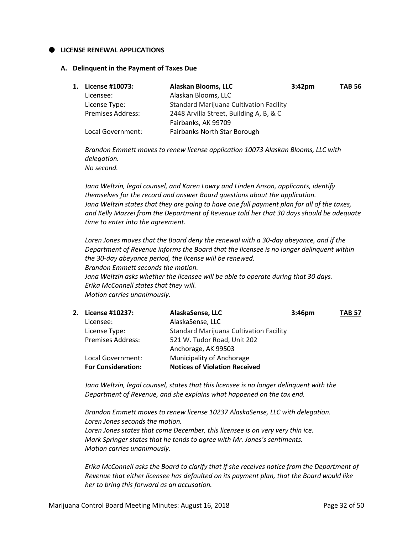#### **LICENSE RENEWAL APPLICATIONS**

#### **A. Delinquent in the Payment of Taxes Due**

| 1. License #10073:       | Alaskan Blooms, LLC                            | 3:42 <sub>pm</sub> | <b>TAB 56</b> |
|--------------------------|------------------------------------------------|--------------------|---------------|
| Licensee:                | Alaskan Blooms, LLC                            |                    |               |
| License Type:            | <b>Standard Marijuana Cultivation Facility</b> |                    |               |
| <b>Premises Address:</b> | 2448 Arvilla Street, Building A, B, & C        |                    |               |
|                          | Fairbanks, AK 99709                            |                    |               |
| Local Government:        | Fairbanks North Star Borough                   |                    |               |

*Brandon Emmett moves to renew license application 10073 Alaskan Blooms, LLC with delegation. No second.*

*Jana Weltzin, legal counsel, and Karen Lowry and Linden Anson, applicants, identify themselves for the record and answer Board questions about the application. Jana Weltzin states that they are going to have one full payment plan for all of the taxes, and Kelly Mazzei from the Department of Revenue told her that 30 days should be adequate time to enter into the agreement.*

*Loren Jones moves that the Board deny the renewal with a 30-day abeyance, and if the Department of Revenue informs the Board that the licensee is no longer delinquent within the 30-day abeyance period, the license will be renewed. Brandon Emmett seconds the motion. Jana Weltzin asks whether the licensee will be able to operate during that 30 days. Erika McConnell states that they will. Motion carries unanimously.*

| 2. License #10237:        | AlaskaSense, LLC                               | 3:46 <sub>pm</sub> | <b>TAB 57</b> |
|---------------------------|------------------------------------------------|--------------------|---------------|
| Licensee:                 | AlaskaSense, LLC                               |                    |               |
| License Type:             | <b>Standard Marijuana Cultivation Facility</b> |                    |               |
| <b>Premises Address:</b>  | 521 W. Tudor Road, Unit 202                    |                    |               |
|                           | Anchorage, AK 99503                            |                    |               |
| Local Government:         | Municipality of Anchorage                      |                    |               |
| <b>For Consideration:</b> | <b>Notices of Violation Received</b>           |                    |               |
|                           |                                                |                    |               |

*Jana Weltzin, legal counsel, states that this licensee is no longer delinquent with the Department of Revenue, and she explains what happened on the tax end.*

*Brandon Emmett moves to renew license 10237 AlaskaSense, LLC with delegation. Loren Jones seconds the motion. Loren Jones states that come December, this licensee is on very very thin ice. Mark Springer states that he tends to agree with Mr. Jones's sentiments. Motion carries unanimously.*

*Erika McConnell asks the Board to clarify that if she receives notice from the Department of Revenue that either licensee has defaulted on its payment plan, that the Board would like her to bring this forward as an accusation.*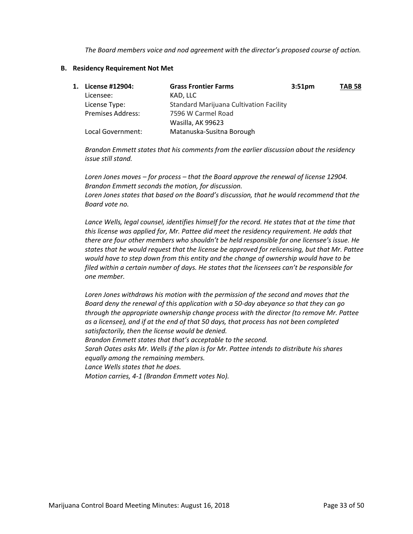*The Board members voice and nod agreement with the director's proposed course of action.*

#### **B. Residency Requirement Not Met**

| 1. License #12904:       | <b>Grass Frontier Farms</b>                    | 3:51 <sub>pm</sub> | <b>TAB 58</b> |
|--------------------------|------------------------------------------------|--------------------|---------------|
| Licensee:                | KAD, LLC                                       |                    |               |
| License Type:            | <b>Standard Marijuana Cultivation Facility</b> |                    |               |
| <b>Premises Address:</b> | 7596 W Carmel Road                             |                    |               |
|                          | Wasilla, AK 99623                              |                    |               |
| Local Government:        | Matanuska-Susitna Borough                      |                    |               |

*Brandon Emmett states that his comments from the earlier discussion about the residency issue still stand.*

*Loren Jones moves – for process – that the Board approve the renewal of license 12904. Brandon Emmett seconds the motion, for discussion. Loren Jones states that based on the Board's discussion, that he would recommend that the Board vote no.*

Lance Wells, legal counsel, identifies himself for the record. He states that at the time that *this license was applied for, Mr. Pattee did meet the residency requirement. He adds that there are four other members who shouldn't be held responsible for one licensee's issue. He states that he would request that the license be approved for relicensing, but that Mr. Pattee would have to step down from this entity and the change of ownership would have to be filed within a certain number of days. He states that the licensees can't be responsible for one member.*

*Loren Jones withdraws his motion with the permission of the second and moves that the Board deny the renewal of this application with a 50-day abeyance so that they can go through the appropriate ownership change process with the director (to remove Mr. Pattee as a licensee), and if at the end of that 50 days, that process has not been completed satisfactorily, then the license would be denied.*

*Brandon Emmett states that that's acceptable to the second.*

*Sarah Oates asks Mr. Wells if the plan is for Mr. Pattee intends to distribute his shares equally among the remaining members.*

*Lance Wells states that he does.*

*Motion carries, 4-1 (Brandon Emmett votes No).*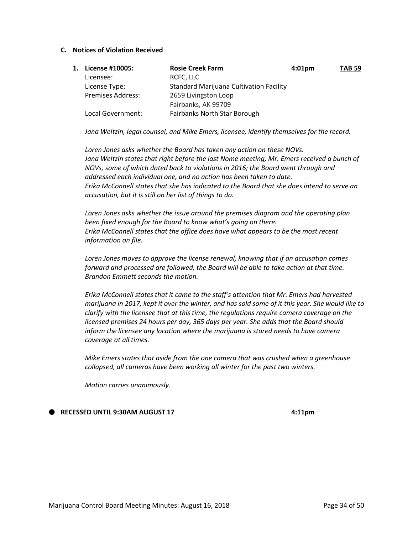#### **C. Notices of Violation Received**

| 1. License #10005:       | <b>Rosie Creek Farm</b>                        | 4:01 <sub>pm</sub> | <b>TAB 59</b> |
|--------------------------|------------------------------------------------|--------------------|---------------|
| Licensee:                | RCFC, LLC                                      |                    |               |
| License Type:            | <b>Standard Marijuana Cultivation Facility</b> |                    |               |
| <b>Premises Address:</b> | 2659 Livingston Loop                           |                    |               |
|                          | Fairbanks, AK 99709                            |                    |               |
| Local Government:        | <b>Fairbanks North Star Borough</b>            |                    |               |

*Jana Weltzin, legal counsel, and Mike Emers, licensee, identify themselves for the record.*

*Loren Jones asks whether the Board has taken any action on these NOVs. Jana Weltzin states that right before the last Nome meeting, Mr. Emers received a bunch of NOVs, some of which dated back to violations in 2016; the Board went through and addressed each individual one, and no action has been taken to date. Erika McConnell states that she has indicated to the Board that she does intend to serve an accusation, but it is still on her list of things to do.*

*Loren Jones asks whether the issue around the premises diagram and the operating plan been fixed enough for the Board to know what's going on there. Erika McConnell states that the office does have what appears to be the most recent information on file.*

*Loren Jones moves to approve the license renewal, knowing that if an accusation comes forward and processed are followed, the Board will be able to take action at that time. Brandon Emmett seconds the motion.*

*Erika McConnell states that it came to the staff's attention that Mr. Emers had harvested marijuana in 2017, kept it over the winter, and has sold some of it this year. She would like to clarify with the licensee that at this time, the regulations require camera coverage on the licensed premises 24 hours per day, 365 days per year. She adds that the Board should inform the licensee any location where the marijuana is stored needs to have camera coverage at all times.*

*Mike Emers states that aside from the one camera that was crushed when a greenhouse collapsed, all cameras have been working all winter for the past two winters.*

*Motion carries unanimously.*

**RECESSED UNTIL 9:30AM AUGUST 17 18:20 18:21 17 18:21 19:30**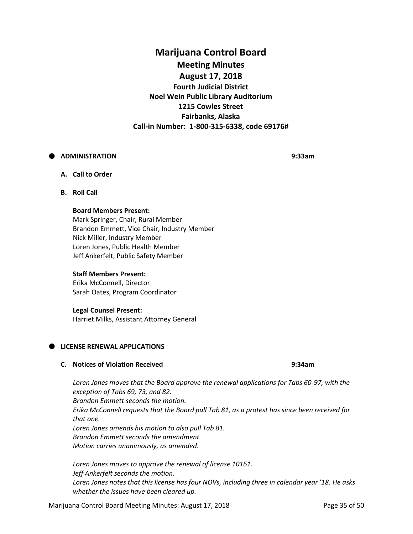# **Marijuana Control Board Meeting Minutes August 17, 2018 Fourth Judicial District Noel Wein Public Library Auditorium 1215 Cowles Street Fairbanks, Alaska Call-in Number: 1-800-315-6338, code 69176#**

# **ADMINISTRATION 9:33am**

- **A. Call to Order**
- **B. Roll Call**

#### **Board Members Present:**

Mark Springer, Chair, Rural Member Brandon Emmett, Vice Chair, Industry Member Nick Miller, Industry Member Loren Jones, Public Health Member Jeff Ankerfelt, Public Safety Member

# **Staff Members Present:**

Erika McConnell, Director Sarah Oates, Program Coordinator

# **Legal Counsel Present:**

Harriet Milks, Assistant Attorney General

# **LICENSE RENEWAL APPLICATIONS**

#### **C. Notices of Violation Received 9:34am**

*Loren Jones moves that the Board approve the renewal applications for Tabs 60-97, with the exception of Tabs 69, 73, and 82. Brandon Emmett seconds the motion. Erika McConnell requests that the Board pull Tab 81, as a protest has since been received for that one. Loren Jones amends his motion to also pull Tab 81. Brandon Emmett seconds the amendment. Motion carries unanimously, as amended.*

*Loren Jones moves to approve the renewal of license 10161. Jeff Ankerfelt seconds the motion. Loren Jones notes that this license has four NOVs, including three in calendar year '18. He asks whether the issues have been cleared up.*

Marijuana Control Board Meeting Minutes: August 17, 2018 **Page 35 of 50** Page 35 of 50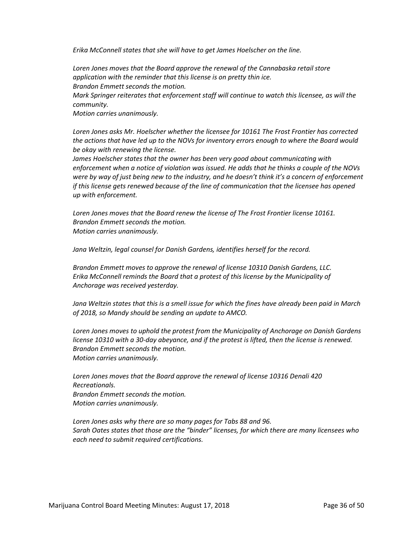*Erika McConnell states that she will have to get James Hoelscher on the line.*

*Loren Jones moves that the Board approve the renewal of the Cannabaska retail store application with the reminder that this license is on pretty thin ice. Brandon Emmett seconds the motion. Mark Springer reiterates that enforcement staff will continue to watch this licensee, as will the community. Motion carries unanimously.*

*Loren Jones asks Mr. Hoelscher whether the licensee for 10161 The Frost Frontier has corrected the actions that have led up to the NOVs for inventory errors enough to where the Board would be okay with renewing the license.*

*James Hoelscher states that the owner has been very good about communicating with enforcement when a notice of violation was issued. He adds that he thinks a couple of the NOVs were by way of just being new to the industry, and he doesn't think it's a concern of enforcement if this license gets renewed because of the line of communication that the licensee has opened up with enforcement.*

*Loren Jones moves that the Board renew the license of The Frost Frontier license 10161. Brandon Emmett seconds the motion. Motion carries unanimously.*

*Jana Weltzin, legal counsel for Danish Gardens, identifies herself for the record.*

*Brandon Emmett moves to approve the renewal of license 10310 Danish Gardens, LLC. Erika McConnell reminds the Board that a protest of this license by the Municipality of Anchorage was received yesterday.*

*Jana Weltzin states that this is a smell issue for which the fines have already been paid in March of 2018, so Mandy should be sending an update to AMCO.*

*Loren Jones moves to uphold the protest from the Municipality of Anchorage on Danish Gardens license 10310 with a 30-day abeyance, and if the protest is lifted, then the license is renewed. Brandon Emmett seconds the motion. Motion carries unanimously.*

*Loren Jones moves that the Board approve the renewal of license 10316 Denali 420 Recreationals. Brandon Emmett seconds the motion. Motion carries unanimously.*

*Loren Jones asks why there are so many pages for Tabs 88 and 96. Sarah Oates states that those are the "binder" licenses, for which there are many licensees who each need to submit required certifications.*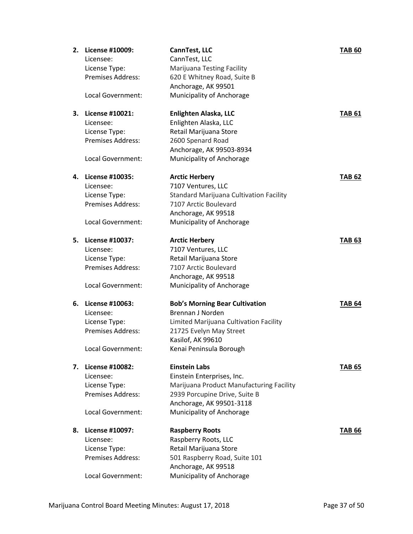| 2. | License #10009:          | CannTest, LLC                                  | <b>TAB 60</b> |
|----|--------------------------|------------------------------------------------|---------------|
|    | Licensee:                | CannTest, LLC                                  |               |
|    | License Type:            | <b>Marijuana Testing Facility</b>              |               |
|    | Premises Address:        | 620 E Whitney Road, Suite B                    |               |
|    |                          | Anchorage, AK 99501                            |               |
|    | Local Government:        | Municipality of Anchorage                      |               |
| 3. | License #10021:          | Enlighten Alaska, LLC                          | <b>TAB 61</b> |
|    | Licensee:                | Enlighten Alaska, LLC                          |               |
|    | License Type:            | Retail Marijuana Store                         |               |
|    | <b>Premises Address:</b> | 2600 Spenard Road                              |               |
|    |                          | Anchorage, AK 99503-8934                       |               |
|    | Local Government:        | Municipality of Anchorage                      |               |
| 4. | License #10035:          | <b>Arctic Herbery</b>                          | <b>TAB 62</b> |
|    | Licensee:                | 7107 Ventures, LLC                             |               |
|    | License Type:            | <b>Standard Marijuana Cultivation Facility</b> |               |
|    | Premises Address:        | 7107 Arctic Boulevard                          |               |
|    |                          | Anchorage, AK 99518                            |               |
|    | Local Government:        | Municipality of Anchorage                      |               |
| 5. | License #10037:          | <b>Arctic Herbery</b>                          | <b>TAB 63</b> |
|    | Licensee:                | 7107 Ventures, LLC                             |               |
|    | License Type:            | Retail Marijuana Store                         |               |
|    | Premises Address:        | 7107 Arctic Boulevard                          |               |
|    |                          | Anchorage, AK 99518                            |               |
|    | Local Government:        | Municipality of Anchorage                      |               |
| 6. | License #10063:          | <b>Bob's Morning Bear Cultivation</b>          | <b>TAB 64</b> |
|    | Licensee:                | Brennan J Norden                               |               |
|    | License Type:            | Limited Marijuana Cultivation Facility         |               |
|    | <b>Premises Address:</b> | 21725 Evelyn May Street                        |               |
|    |                          | Kasilof, AK 99610                              |               |
|    | Local Government:        | Kenai Peninsula Borough                        |               |
| 7. | <b>License #10082:</b>   | <b>Einstein Labs</b>                           | <b>TAB 65</b> |
|    | Licensee:                | Einstein Enterprises, Inc.                     |               |
|    | License Type:            | Marijuana Product Manufacturing Facility       |               |
|    | Premises Address:        | 2939 Porcupine Drive, Suite B                  |               |
|    |                          | Anchorage, AK 99501-3118                       |               |
|    | Local Government:        | Municipality of Anchorage                      |               |
| 8. | License #10097:          | <b>Raspberry Roots</b>                         | <b>TAB 66</b> |
|    | Licensee:                | Raspberry Roots, LLC                           |               |
|    | License Type:            | Retail Marijuana Store                         |               |
|    | Premises Address:        | 501 Raspberry Road, Suite 101                  |               |
|    |                          | Anchorage, AK 99518                            |               |
|    | Local Government:        | Municipality of Anchorage                      |               |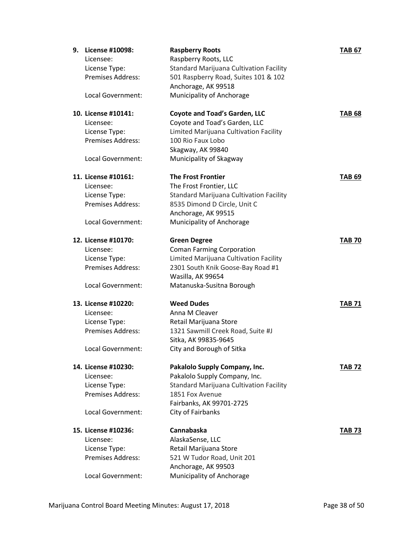| 9. | License #10098:<br>Licensee:<br>License Type:<br><b>Premises Address:</b><br>Local Government:            | <b>Raspberry Roots</b><br>Raspberry Roots, LLC<br>Standard Marijuana Cultivation Facility<br>501 Raspberry Road, Suites 101 & 102<br>Anchorage, AK 99518<br>Municipality of Anchorage      | <b>TAB 67</b> |
|----|-----------------------------------------------------------------------------------------------------------|--------------------------------------------------------------------------------------------------------------------------------------------------------------------------------------------|---------------|
|    | 10. License #10141:<br>Licensee:<br>License Type:<br><b>Premises Address:</b><br>Local Government:        | <b>Coyote and Toad's Garden, LLC</b><br>Coyote and Toad's Garden, LLC<br>Limited Marijuana Cultivation Facility<br>100 Rio Faux Lobo<br>Skagway, AK 99840<br>Municipality of Skagway       | <b>TAB 68</b> |
|    | 11. License #10161:<br>Licensee:<br>License Type:<br><b>Premises Address:</b><br><b>Local Government:</b> | <b>The Frost Frontier</b><br>The Frost Frontier, LLC<br><b>Standard Marijuana Cultivation Facility</b><br>8535 Dimond D Circle, Unit C<br>Anchorage, AK 99515<br>Municipality of Anchorage | TAB 69        |
|    | 12. License #10170:<br>Licensee:<br>License Type:<br>Premises Address:<br>Local Government:               | <b>Green Degree</b><br><b>Coman Farming Corporation</b><br>Limited Marijuana Cultivation Facility<br>2301 South Knik Goose-Bay Road #1<br>Wasilla, AK 99654<br>Matanuska-Susitna Borough   | <b>TAB 70</b> |
|    | 13. License #10220:<br>Licensee:<br>License Type:<br><b>Premises Address:</b><br>Local Government:        | <b>Weed Dudes</b><br>Anna M Cleaver<br>Retail Marijuana Store<br>1321 Sawmill Creek Road, Suite #J<br>Sitka, AK 99835-9645<br>City and Borough of Sitka                                    | <b>TAB 71</b> |
|    | 14. License #10230:<br>Licensee:<br>License Type:<br><b>Premises Address:</b><br>Local Government:        | Pakalolo Supply Company, Inc.<br>Pakalolo Supply Company, Inc.<br>Standard Marijuana Cultivation Facility<br>1851 Fox Avenue<br>Fairbanks, AK 99701-2725<br>City of Fairbanks              | <b>TAB 72</b> |
|    | 15. License #10236:<br>Licensee:<br>License Type:<br>Premises Address:<br>Local Government:               | Cannabaska<br>AlaskaSense, LLC<br>Retail Marijuana Store<br>521 W Tudor Road, Unit 201<br>Anchorage, AK 99503<br>Municipality of Anchorage                                                 | <b>TAB 73</b> |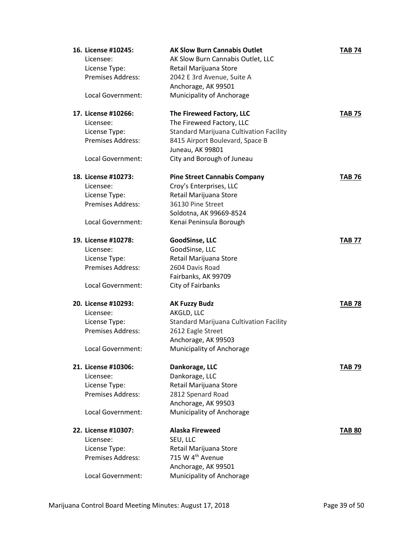| 16. License #10245:<br>Licensee:<br>License Type:<br>Premises Address:<br>Local Government: | <b>AK Slow Burn Cannabis Outlet</b><br>AK Slow Burn Cannabis Outlet, LLC<br>Retail Marijuana Store<br>2042 E 3rd Avenue, Suite A<br>Anchorage, AK 99501<br>Municipality of Anchorage | <b>TAB 74</b> |
|---------------------------------------------------------------------------------------------|--------------------------------------------------------------------------------------------------------------------------------------------------------------------------------------|---------------|
|                                                                                             |                                                                                                                                                                                      |               |
| 17. License #10266:<br>Licensee:                                                            | The Fireweed Factory, LLC                                                                                                                                                            | <b>TAB 75</b> |
| License Type:                                                                               | The Fireweed Factory, LLC<br><b>Standard Marijuana Cultivation Facility</b>                                                                                                          |               |
| Premises Address:                                                                           | 8415 Airport Boulevard, Space B                                                                                                                                                      |               |
|                                                                                             | Juneau, AK 99801                                                                                                                                                                     |               |
| Local Government:                                                                           | City and Borough of Juneau                                                                                                                                                           |               |
|                                                                                             |                                                                                                                                                                                      |               |
| 18. License #10273:                                                                         | <b>Pine Street Cannabis Company</b>                                                                                                                                                  | <b>TAB 76</b> |
| Licensee:                                                                                   | Croy's Enterprises, LLC                                                                                                                                                              |               |
| License Type:                                                                               | Retail Marijuana Store                                                                                                                                                               |               |
| Premises Address:                                                                           | 36130 Pine Street                                                                                                                                                                    |               |
|                                                                                             | Soldotna, AK 99669-8524                                                                                                                                                              |               |
| Local Government:                                                                           | Kenai Peninsula Borough                                                                                                                                                              |               |
| 19. License #10278:                                                                         | GoodSinse, LLC                                                                                                                                                                       | <b>TAB 77</b> |
| Licensee:                                                                                   | GoodSinse, LLC                                                                                                                                                                       |               |
| License Type:                                                                               | Retail Marijuana Store                                                                                                                                                               |               |
| Premises Address:                                                                           | 2604 Davis Road                                                                                                                                                                      |               |
|                                                                                             | Fairbanks, AK 99709                                                                                                                                                                  |               |
| Local Government:                                                                           | City of Fairbanks                                                                                                                                                                    |               |
| 20. License #10293:                                                                         | <b>AK Fuzzy Budz</b>                                                                                                                                                                 | <b>TAB 78</b> |
| Licensee:                                                                                   | AKGLD, LLC                                                                                                                                                                           |               |
| License Type:                                                                               | Standard Marijuana Cultivation Facility                                                                                                                                              |               |
| Premises Address:                                                                           | 2612 Eagle Street                                                                                                                                                                    |               |
|                                                                                             | Anchorage, AK 99503                                                                                                                                                                  |               |
| Local Government:                                                                           | Municipality of Anchorage                                                                                                                                                            |               |
| 21. License #10306:                                                                         | Dankorage, LLC                                                                                                                                                                       | TAB 79        |
| Licensee:                                                                                   | Dankorage, LLC                                                                                                                                                                       |               |
| License Type:                                                                               | Retail Marijuana Store                                                                                                                                                               |               |
| <b>Premises Address:</b>                                                                    | 2812 Spenard Road                                                                                                                                                                    |               |
|                                                                                             | Anchorage, AK 99503                                                                                                                                                                  |               |
| Local Government:                                                                           | Municipality of Anchorage                                                                                                                                                            |               |
| 22. License #10307:                                                                         | <b>Alaska Fireweed</b>                                                                                                                                                               | <b>TAB 80</b> |
| Licensee:                                                                                   | SEU, LLC                                                                                                                                                                             |               |
| License Type:                                                                               | Retail Marijuana Store                                                                                                                                                               |               |
| Premises Address:                                                                           | 715 W 4 <sup>th</sup> Avenue                                                                                                                                                         |               |
|                                                                                             | Anchorage, AK 99501                                                                                                                                                                  |               |
| Local Government:                                                                           | Municipality of Anchorage                                                                                                                                                            |               |
|                                                                                             |                                                                                                                                                                                      |               |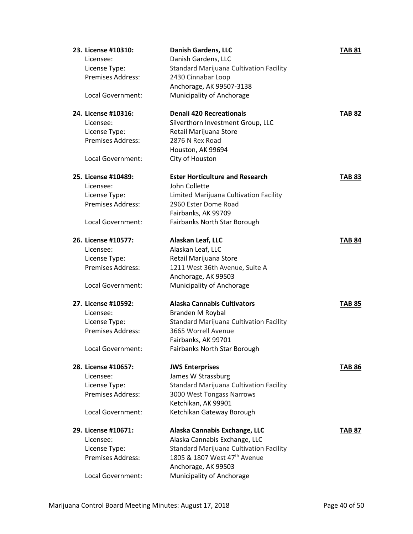| 23. License #10310:                | <b>Danish Gardens, LLC</b>                     | <b>TAB 81</b> |
|------------------------------------|------------------------------------------------|---------------|
| Licensee:                          | Danish Gardens, LLC                            |               |
| License Type:                      | <b>Standard Marijuana Cultivation Facility</b> |               |
| <b>Premises Address:</b>           | 2430 Cinnabar Loop                             |               |
|                                    | Anchorage, AK 99507-3138                       |               |
| Local Government:                  | Municipality of Anchorage                      |               |
| 24. License #10316:                | <b>Denali 420 Recreationals</b>                | <b>TAB 82</b> |
| Licensee:                          | Silverthorn Investment Group, LLC              |               |
| License Type:                      | Retail Marijuana Store                         |               |
| <b>Premises Address:</b>           | 2876 N Rex Road                                |               |
|                                    | Houston, AK 99694                              |               |
| Local Government:                  | City of Houston                                |               |
| 25. License #10489:                | <b>Ester Horticulture and Research</b>         | <b>TAB 83</b> |
| Licensee:                          | John Collette                                  |               |
| License Type:                      | Limited Marijuana Cultivation Facility         |               |
| Premises Address:                  | 2960 Ester Dome Road                           |               |
|                                    | Fairbanks, AK 99709                            |               |
| Local Government:                  | Fairbanks North Star Borough                   |               |
| 26. License #10577:                | Alaskan Leaf, LLC                              | <b>TAB 84</b> |
|                                    |                                                |               |
| Licensee:                          | Alaskan Leaf, LLC                              |               |
| License Type:<br>Premises Address: | Retail Marijuana Store                         |               |
|                                    | 1211 West 36th Avenue, Suite A                 |               |
|                                    | Anchorage, AK 99503                            |               |
| Local Government:                  | Municipality of Anchorage                      |               |
| 27. License #10592:                | <b>Alaska Cannabis Cultivators</b>             | TAB 85        |
| Licensee:                          | Branden M Roybal                               |               |
| License Type:                      | <b>Standard Marijuana Cultivation Facility</b> |               |
| <b>Premises Address:</b>           | 3665 Worrell Avenue                            |               |
|                                    | Fairbanks, AK 99701                            |               |
| Local Government:                  | Fairbanks North Star Borough                   |               |
| 28. License #10657:                | <b>JWS Enterprises</b>                         | TAB 86        |
| Licensee:                          | James W Strassburg                             |               |
| License Type:                      | <b>Standard Marijuana Cultivation Facility</b> |               |
| Premises Address:                  | 3000 West Tongass Narrows                      |               |
|                                    | Ketchikan, AK 99901                            |               |
| Local Government:                  | Ketchikan Gateway Borough                      |               |
| 29. License #10671:                | Alaska Cannabis Exchange, LLC                  | TAB 87        |
| Licensee:                          | Alaska Cannabis Exchange, LLC                  |               |
| License Type:                      | Standard Marijuana Cultivation Facility        |               |
| Premises Address:                  | 1805 & 1807 West 47 <sup>th</sup> Avenue       |               |
|                                    | Anchorage, AK 99503                            |               |
| Local Government:                  | Municipality of Anchorage                      |               |
|                                    |                                                |               |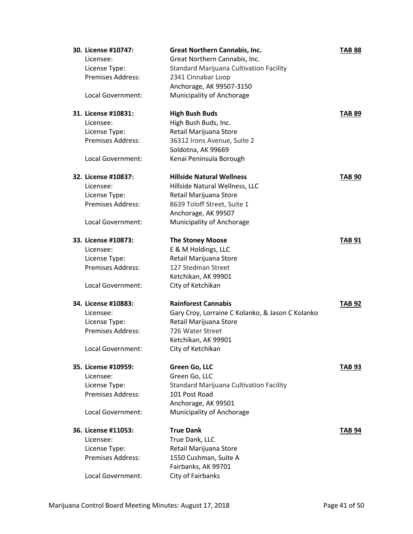| 30. License #10747:      | <b>Great Northern Cannabis, Inc.</b>             | <b>TAB 88</b> |
|--------------------------|--------------------------------------------------|---------------|
| Licensee:                | Great Northern Cannabis, Inc.                    |               |
| License Type:            | <b>Standard Marijuana Cultivation Facility</b>   |               |
| Premises Address:        | 2341 Cinnabar Loop                               |               |
|                          | Anchorage, AK 99507-3150                         |               |
| <b>Local Government:</b> | Municipality of Anchorage                        |               |
| 31. License #10831:      | <b>High Bush Buds</b>                            | <b>TAB 89</b> |
| Licensee:                | High Bush Buds, Inc.                             |               |
| License Type:            | Retail Marijuana Store                           |               |
| <b>Premises Address:</b> | 36312 Irons Avenue, Suite 2                      |               |
|                          | Soldotna, AK 99669                               |               |
| Local Government:        | Kenai Peninsula Borough                          |               |
| 32. License #10837:      | <b>Hillside Natural Wellness</b>                 | <b>TAB 90</b> |
| Licensee:                | Hillside Natural Wellness, LLC                   |               |
| License Type:            | Retail Marijuana Store                           |               |
| Premises Address:        | 8639 Toloff Street, Suite 1                      |               |
|                          | Anchorage, AK 99507                              |               |
| Local Government:        | Municipality of Anchorage                        |               |
| 33. License #10873:      | <b>The Stoney Moose</b>                          | <b>TAB 91</b> |
| Licensee:                | E & M Holdings, LLC                              |               |
| License Type:            | Retail Marijuana Store                           |               |
| Premises Address:        | 127 Stedman Street                               |               |
|                          | Ketchikan, AK 99901                              |               |
| Local Government:        | City of Ketchikan                                |               |
| 34. License #10883:      | <b>Rainforest Cannabis</b>                       | <b>TAB 92</b> |
| Licensee:                | Gary Croy, Lorraine C Kolanko, & Jason C Kolanko |               |
| License Type:            | Retail Marijuana Store                           |               |
| Premises Address:        | 726 Water Street                                 |               |
|                          | Ketchikan, AK 99901                              |               |
| Local Government:        | City of Ketchikan                                |               |
| 35. License #10959:      | Green Go, LLC                                    | <b>TAB 93</b> |
| Licensee:                | Green Go, LLC                                    |               |
| License Type:            | Standard Marijuana Cultivation Facility          |               |
| <b>Premises Address:</b> | 101 Post Road                                    |               |
|                          | Anchorage, AK 99501                              |               |
| Local Government:        | Municipality of Anchorage                        |               |
| 36. License #11053:      | <b>True Dank</b>                                 | <b>TAB 94</b> |
| Licensee:                | True Dank, LLC                                   |               |
| License Type:            | Retail Marijuana Store                           |               |
| Premises Address:        | 1550 Cushman, Suite A                            |               |
|                          | Fairbanks, AK 99701                              |               |
| Local Government:        | City of Fairbanks                                |               |
|                          |                                                  |               |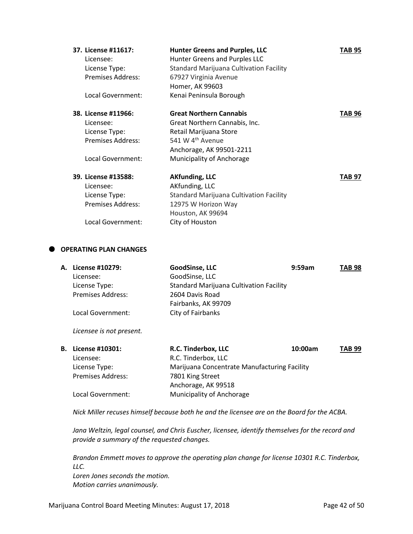| 37. License #11617:      | <b>Hunter Greens and Purples, LLC</b>          | TAB 95 |
|--------------------------|------------------------------------------------|--------|
| Licensee:                | Hunter Greens and Purples LLC                  |        |
| License Type:            | <b>Standard Marijuana Cultivation Facility</b> |        |
| <b>Premises Address:</b> | 67927 Virginia Avenue                          |        |
|                          | Homer, AK 99603                                |        |
| Local Government:        | Kenai Peninsula Borough                        |        |
| 38. License #11966:      | <b>Great Northern Cannabis</b>                 | TAB 96 |
| Licensee:                | Great Northern Cannabis, Inc.                  |        |
| License Type:            | Retail Marijuana Store                         |        |
| <b>Premises Address:</b> | 541 W 4 <sup>th</sup> Avenue                   |        |
|                          | Anchorage, AK 99501-2211                       |        |
| Local Government:        | Municipality of Anchorage                      |        |
| 39. License #13588:      | <b>AKfunding, LLC</b>                          | TAB 97 |
| Licensee:                | AKfunding, LLC                                 |        |
| License Type:            | Standard Marijuana Cultivation Facility        |        |
| <b>Premises Address:</b> | 12975 W Horizon Way                            |        |
|                          | Houston, AK 99694                              |        |
| Local Government:        | City of Houston                                |        |

# **OPERATING PLAN CHANGES**

| А. | License #10279:          | GoodSinse, LLC                                 | 9:59am | <b>TAB 98</b> |
|----|--------------------------|------------------------------------------------|--------|---------------|
|    | Licensee:                | GoodSinse, LLC                                 |        |               |
|    | License Type:            | <b>Standard Marijuana Cultivation Facility</b> |        |               |
|    | <b>Premises Address:</b> | 2604 Davis Road                                |        |               |
|    |                          | Fairbanks, AK 99709                            |        |               |
|    | Local Government:        | City of Fairbanks                              |        |               |
|    |                          |                                                |        |               |
|    | Licensee is not present. |                                                |        |               |

| <b>B.</b> License #10301: | R.C. Tinderbox, LLC                          | 10:00am | <b>TAB 99</b> |
|---------------------------|----------------------------------------------|---------|---------------|
| Licensee:                 | R.C. Tinderbox, LLC                          |         |               |
| License Type:             | Marijuana Concentrate Manufacturing Facility |         |               |
| <b>Premises Address:</b>  | 7801 King Street                             |         |               |
|                           | Anchorage, AK 99518                          |         |               |
| Local Government:         | Municipality of Anchorage                    |         |               |

*Nick Miller recuses himself because both he and the licensee are on the Board for the ACBA.*

*Jana Weltzin, legal counsel, and Chris Euscher, licensee, identify themselves for the record and provide a summary of the requested changes.*

*Brandon Emmett moves to approve the operating plan change for license 10301 R.C. Tinderbox, LLC.*

*Loren Jones seconds the motion. Motion carries unanimously.*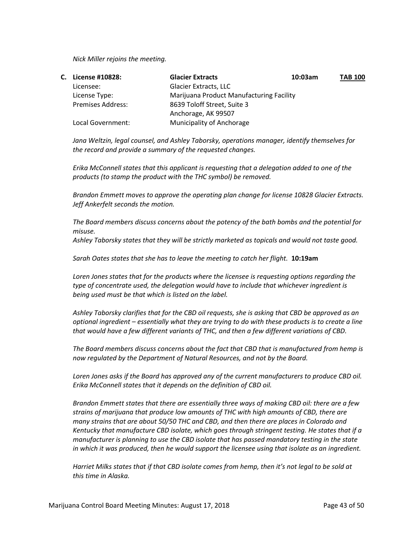*Nick Miller rejoins the meeting.*

| C. | License #10828:          | <b>Glacier Extracts</b>                  | 10:03am | <b>TAB 100</b> |
|----|--------------------------|------------------------------------------|---------|----------------|
|    | Licensee:                | Glacier Extracts, LLC                    |         |                |
|    | License Type:            | Marijuana Product Manufacturing Facility |         |                |
|    | <b>Premises Address:</b> | 8639 Toloff Street, Suite 3              |         |                |
|    |                          | Anchorage, AK 99507                      |         |                |
|    | Local Government:        | <b>Municipality of Anchorage</b>         |         |                |

*Jana Weltzin, legal counsel, and Ashley Taborsky, operations manager, identify themselves for the record and provide a summary of the requested changes.*

*Erika McConnell states that this applicant is requesting that a delegation added to one of the products (to stamp the product with the THC symbol) be removed.*

*Brandon Emmett moves to approve the operating plan change for license 10828 Glacier Extracts. Jeff Ankerfelt seconds the motion.*

*The Board members discuss concerns about the potency of the bath bombs and the potential for misuse.*

*Ashley Taborsky states that they will be strictly marketed as topicals and would not taste good.*

*Sarah Oates states that she has to leave the meeting to catch her flight.* **10:19am**

*Loren Jones states that for the products where the licensee is requesting options regarding the type of concentrate used, the delegation would have to include that whichever ingredient is being used must be that which is listed on the label.*

*Ashley Taborsky clarifies that for the CBD oil requests, she is asking that CBD be approved as an optional ingredient – essentially what they are trying to do with these products is to create a line that would have a few different variants of THC, and then a few different variations of CBD.*

*The Board members discuss concerns about the fact that CBD that is manufactured from hemp is now regulated by the Department of Natural Resources, and not by the Board.*

*Loren Jones asks if the Board has approved any of the current manufacturers to produce CBD oil. Erika McConnell states that it depends on the definition of CBD oil.*

*Brandon Emmett states that there are essentially three ways of making CBD oil: there are a few strains of marijuana that produce low amounts of THC with high amounts of CBD, there are many strains that are about 50/50 THC and CBD, and then there are places in Colorado and Kentucky that manufacture CBD isolate, which goes through stringent testing. He states that if a manufacturer is planning to use the CBD isolate that has passed mandatory testing in the state in which it was produced, then he would support the licensee using that isolate as an ingredient.*

*Harriet Milks states that if that CBD isolate comes from hemp, then it's not legal to be sold at this time in Alaska.*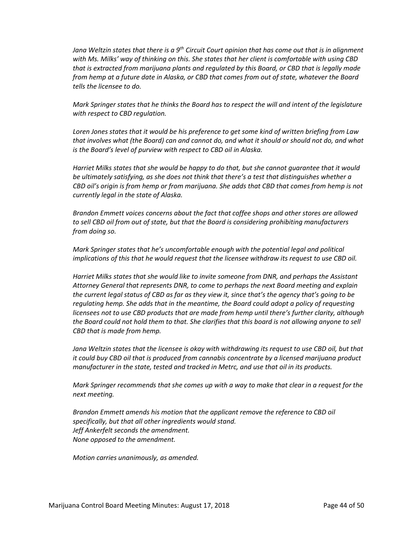*Jana Weltzin states that there is a 9th Circuit Court opinion that has come out that is in alignment with Ms. Milks' way of thinking on this. She states that her client is comfortable with using CBD that is extracted from marijuana plants and regulated by this Board, or CBD that is legally made from hemp at a future date in Alaska, or CBD that comes from out of state, whatever the Board tells the licensee to do.*

*Mark Springer states that he thinks the Board has to respect the will and intent of the legislature with respect to CBD regulation.*

*Loren Jones states that it would be his preference to get some kind of written briefing from Law that involves what (the Board) can and cannot do, and what it should or should not do, and what is the Board's level of purview with respect to CBD oil in Alaska.*

*Harriet Milks states that she would be happy to do that, but she cannot guarantee that it would be ultimately satisfying, as she does not think that there's a test that distinguishes whether a CBD oil's origin is from hemp or from marijuana. She adds that CBD that comes from hemp is not currently legal in the state of Alaska.*

*Brandon Emmett voices concerns about the fact that coffee shops and other stores are allowed to sell CBD oil from out of state, but that the Board is considering prohibiting manufacturers from doing so.*

*Mark Springer states that he's uncomfortable enough with the potential legal and political implications of this that he would request that the licensee withdraw its request to use CBD oil.*

*Harriet Milks states that she would like to invite someone from DNR, and perhaps the Assistant Attorney General that represents DNR, to come to perhaps the next Board meeting and explain the current legal status of CBD as far as they view it, since that's the agency that's going to be regulating hemp. She adds that in the meantime, the Board could adopt a policy of requesting licensees not to use CBD products that are made from hemp until there's further clarity, although the Board could not hold them to that. She clarifies that this board is not allowing anyone to sell CBD that is made from hemp.*

Jana Weltzin states that the licensee is okay with withdrawing its request to use CBD oil, but that *it could buy CBD oil that is produced from cannabis concentrate by a licensed marijuana product manufacturer in the state, tested and tracked in Metrc, and use that oil in its products.*

*Mark Springer recommends that she comes up with a way to make that clear in a request for the next meeting.*

*Brandon Emmett amends his motion that the applicant remove the reference to CBD oil specifically, but that all other ingredients would stand. Jeff Ankerfelt seconds the amendment. None opposed to the amendment.*

*Motion carries unanimously, as amended.*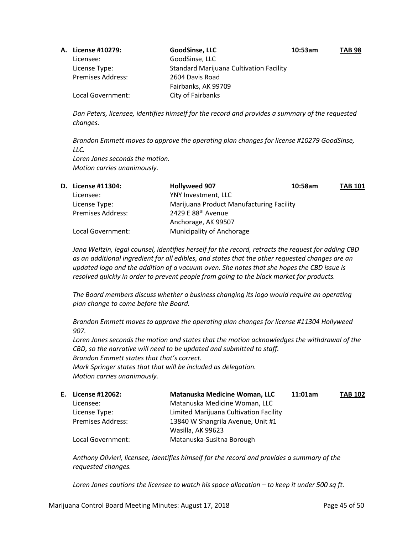| A. License #10279:       | GoodSinse, LLC                                 | 10:53am | <b>TAB 98</b> |
|--------------------------|------------------------------------------------|---------|---------------|
| Licensee:                | GoodSinse, LLC                                 |         |               |
| License Type:            | <b>Standard Marijuana Cultivation Facility</b> |         |               |
| <b>Premises Address:</b> | 2604 Davis Road                                |         |               |
|                          | Fairbanks, AK 99709                            |         |               |
| Local Government:        | City of Fairbanks                              |         |               |

*Dan Peters, licensee, identifies himself for the record and provides a summary of the requested changes.*

*Brandon Emmett moves to approve the operating plan changes for license #10279 GoodSinse, LLC. Loren Jones seconds the motion. Motion carries unanimously.*

| D. License #11304:       | <b>Hollyweed 907</b>                     | 10:58am | <b>TAB 101</b> |
|--------------------------|------------------------------------------|---------|----------------|
| Licensee:                | YNY Investment, LLC                      |         |                |
| License Type:            | Marijuana Product Manufacturing Facility |         |                |
| <b>Premises Address:</b> | 2429 E 88 <sup>th</sup> Avenue           |         |                |
|                          | Anchorage, AK 99507                      |         |                |
| Local Government:        | Municipality of Anchorage                |         |                |

*Jana Weltzin, legal counsel, identifies herself for the record, retracts the request for adding CBD as an additional ingredient for all edibles, and states that the other requested changes are an updated logo and the addition of a vacuum oven. She notes that she hopes the CBD issue is resolved quickly in order to prevent people from going to the black market for products.*

*The Board members discuss whether a business changing its logo would require an operating plan change to come before the Board.*

*Brandon Emmett moves to approve the operating plan changes for license #11304 Hollyweed 907.*

*Loren Jones seconds the motion and states that the motion acknowledges the withdrawal of the CBD, so the narrative will need to be updated and submitted to staff. Brandon Emmett states that that's correct. Mark Springer states that that will be included as delegation. Motion carries unanimously.*

| Е. | License #12062:          | Matanuska Medicine Woman, LLC          | 11:01am | <b>TAB 102</b> |
|----|--------------------------|----------------------------------------|---------|----------------|
|    | Licensee:                | Matanuska Medicine Woman, LLC          |         |                |
|    | License Type:            | Limited Marijuana Cultivation Facility |         |                |
|    | <b>Premises Address:</b> | 13840 W Shangrila Avenue, Unit #1      |         |                |
|    |                          | Wasilla, AK 99623                      |         |                |
|    | Local Government:        | Matanuska-Susitna Borough              |         |                |

*Anthony Olivieri, licensee, identifies himself for the record and provides a summary of the requested changes.*

*Loren Jones cautions the licensee to watch his space allocation – to keep it under 500 sq ft.*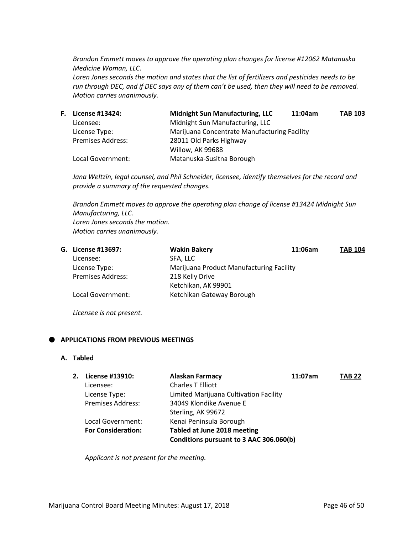*Brandon Emmett moves to approve the operating plan changes for license #12062 Matanuska Medicine Woman, LLC.*

*Loren Jones seconds the motion and states that the list of fertilizers and pesticides needs to be run through DEC, and if DEC says any of them can't be used, then they will need to be removed. Motion carries unanimously.*

| F. | License #13424:          | <b>Midnight Sun Manufacturing, LLC</b>       | 11:04am | <b>TAB 103</b> |
|----|--------------------------|----------------------------------------------|---------|----------------|
|    | Licensee:                | Midnight Sun Manufacturing, LLC              |         |                |
|    | License Type:            | Marijuana Concentrate Manufacturing Facility |         |                |
|    | <b>Premises Address:</b> | 28011 Old Parks Highway                      |         |                |
|    |                          | Willow, AK 99688                             |         |                |
|    | Local Government:        | Matanuska-Susitna Borough                    |         |                |
|    |                          |                                              |         |                |

*Jana Weltzin, legal counsel, and Phil Schneider, licensee, identify themselves for the record and provide a summary of the requested changes.*

*Brandon Emmett moves to approve the operating plan change of license #13424 Midnight Sun Manufacturing, LLC. Loren Jones seconds the motion. Motion carries unanimously.*

|  | G. License #13697:       | <b>Wakin Bakery</b>                      | 11:06am | <b>TAB 104</b> |
|--|--------------------------|------------------------------------------|---------|----------------|
|  | Licensee:                | SFA. LLC                                 |         |                |
|  | License Type:            | Marijuana Product Manufacturing Facility |         |                |
|  | <b>Premises Address:</b> | 218 Kelly Drive                          |         |                |
|  |                          | Ketchikan, AK 99901                      |         |                |
|  | Local Government:        | Ketchikan Gateway Borough                |         |                |
|  |                          |                                          |         |                |

*Licensee is not present.*

# **APPLICATIONS FROM PREVIOUS MEETINGS**

#### **A. Tabled**

| 2. | License #13910:           | <b>Alaskan Farmacy</b>                  | 11:07am | <b>TAB 22</b> |
|----|---------------------------|-----------------------------------------|---------|---------------|
|    | Licensee:                 | <b>Charles T Elliott</b>                |         |               |
|    | License Type:             | Limited Marijuana Cultivation Facility  |         |               |
|    | <b>Premises Address:</b>  | 34049 Klondike Avenue E                 |         |               |
|    |                           | Sterling, AK 99672                      |         |               |
|    | Local Government:         | Kenai Peninsula Borough                 |         |               |
|    | <b>For Consideration:</b> | Tabled at June 2018 meeting             |         |               |
|    |                           | Conditions pursuant to 3 AAC 306.060(b) |         |               |
|    |                           |                                         |         |               |

*Applicant is not present for the meeting.*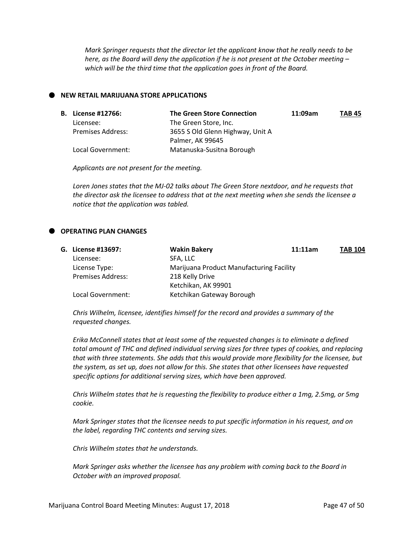*Mark Springer requests that the director let the applicant know that he really needs to be here, as the Board will deny the application if he is not present at the October meeting – which will be the third time that the application goes in front of the Board.*

### **NEW RETAIL MARIJUANA STORE APPLICATIONS**

|  | <b>B.</b> License #12766: | <b>The Green Store Connection</b> | 11:09am | TAB 45 |
|--|---------------------------|-----------------------------------|---------|--------|
|  | Licensee:                 | The Green Store, Inc.             |         |        |
|  | <b>Premises Address:</b>  | 3655 S Old Glenn Highway, Unit A  |         |        |
|  |                           | Palmer, AK 99645                  |         |        |
|  | Local Government:         | Matanuska-Susitna Borough         |         |        |

*Applicants are not present for the meeting.*

*Loren Jones states that the MJ-02 talks about The Green Store nextdoor, and he requests that the director ask the licensee to address that at the next meeting when she sends the licensee a notice that the application was tabled.*

# **OPERATING PLAN CHANGES**

|  | G. License #13697:       | <b>Wakin Bakery</b>                      | 11:11am | <b>TAB 104</b> |
|--|--------------------------|------------------------------------------|---------|----------------|
|  | Licensee:                | SFA, LLC                                 |         |                |
|  | License Type:            | Marijuana Product Manufacturing Facility |         |                |
|  | <b>Premises Address:</b> | 218 Kelly Drive                          |         |                |
|  |                          | Ketchikan, AK 99901                      |         |                |
|  | Local Government:        | Ketchikan Gateway Borough                |         |                |

*Chris Wilhelm, licensee, identifies himself for the record and provides a summary of the requested changes.*

*Erika McConnell states that at least some of the requested changes is to eliminate a defined total amount of THC and defined individual serving sizes for three types of cookies, and replacing that with three statements. She adds that this would provide more flexibility for the licensee, but the system, as set up, does not allow for this. She states that other licensees have requested specific options for additional serving sizes, which have been approved.*

*Chris Wilhelm states that he is requesting the flexibility to produce either a 1mg, 2.5mg, or 5mg cookie.*

*Mark Springer states that the licensee needs to put specific information in his request, and on the label, regarding THC contents and serving sizes.* 

*Chris Wilhelm states that he understands.*

*Mark Springer asks whether the licensee has any problem with coming back to the Board in October with an improved proposal.*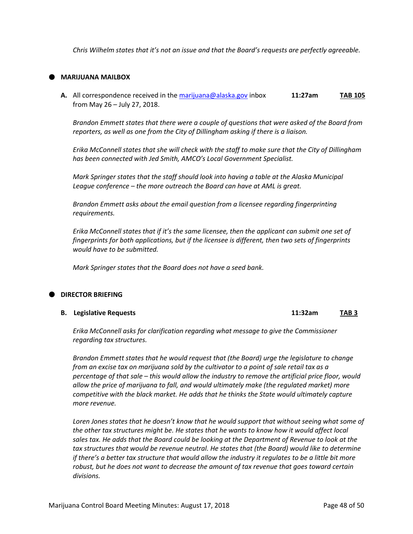*Chris Wilhelm states that it's not an issue and that the Board's requests are perfectly agreeable.*

# **MARIJUANA MAILBOX**

**A.** All correspondence received in th[e marijuana@alaska.gov](mailto:marijuana@alaska.gov) inbox **11:27am TAB 105** from May 26 – July 27, 2018.

*Brandon Emmett states that there were a couple of questions that were asked of the Board from reporters, as well as one from the City of Dillingham asking if there is a liaison.*

*Erika McConnell states that she will check with the staff to make sure that the City of Dillingham has been connected with Jed Smith, AMCO's Local Government Specialist.*

*Mark Springer states that the staff should look into having a table at the Alaska Municipal League conference – the more outreach the Board can have at AML is great.*

*Brandon Emmett asks about the email question from a licensee regarding fingerprinting requirements.*

*Erika McConnell states that if it's the same licensee, then the applicant can submit one set of fingerprints for both applications, but if the licensee is different, then two sets of fingerprints would have to be submitted.*

*Mark Springer states that the Board does not have a seed bank.*

### **DIRECTOR BRIEFING**

#### **B. Legislative Requests 11:32am TAB 3**

*Erika McConnell asks for clarification regarding what message to give the Commissioner regarding tax structures.*

*Brandon Emmett states that he would request that (the Board) urge the legislature to change from an excise tax on marijuana sold by the cultivator to a point of sale retail tax as a percentage of that sale – this would allow the industry to remove the artificial price floor, would allow the price of marijuana to fall, and would ultimately make (the regulated market) more competitive with the black market. He adds that he thinks the State would ultimately capture more revenue.*

*Loren Jones states that he doesn't know that he would support that without seeing what some of the other tax structures might be. He states that he wants to know how it would affect local sales tax. He adds that the Board could be looking at the Department of Revenue to look at the tax structures that would be revenue neutral. He states that (the Board) would like to determine if there's a better tax structure that would allow the industry it regulates to be a little bit more robust, but he does not want to decrease the amount of tax revenue that goes toward certain divisions.*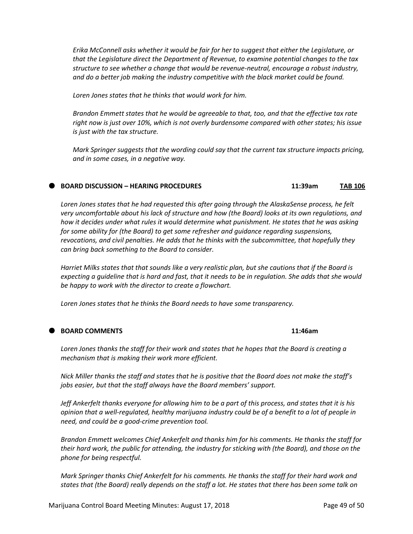*Erika McConnell asks whether it would be fair for her to suggest that either the Legislature, or that the Legislature direct the Department of Revenue, to examine potential changes to the tax structure to see whether a change that would be revenue-neutral, encourage a robust industry, and do a better job making the industry competitive with the black market could be found.*

*Loren Jones states that he thinks that would work for him.*

*Brandon Emmett states that he would be agreeable to that, too, and that the effective tax rate right now is just over 10%, which is not overly burdensome compared with other states; his issue is just with the tax structure.*

*Mark Springer suggests that the wording could say that the current tax structure impacts pricing, and in some cases, in a negative way.*

### **BOARD DISCUSSION – HEARING PROCEDURES 11:39am TAB 106**

*Loren Jones states that he had requested this after going through the AlaskaSense process, he felt very uncomfortable about his lack of structure and how (the Board) looks at its own regulations, and how it decides under what rules it would determine what punishment. He states that he was asking for some ability for (the Board) to get some refresher and guidance regarding suspensions, revocations, and civil penalties. He adds that he thinks with the subcommittee, that hopefully they can bring back something to the Board to consider.*

*Harriet Milks states that that sounds like a very realistic plan, but she cautions that if the Board is expecting a guideline that is hard and fast, that it needs to be in regulation. She adds that she would be happy to work with the director to create a flowchart.*

*Loren Jones states that he thinks the Board needs to have some transparency.*

# **BOARD COMMENTS 11:46am**

*Loren Jones thanks the staff for their work and states that he hopes that the Board is creating a mechanism that is making their work more efficient.*

*Nick Miller thanks the staff and states that he is positive that the Board does not make the staff's jobs easier, but that the staff always have the Board members' support.*

*Jeff Ankerfelt thanks everyone for allowing him to be a part of this process, and states that it is his opinion that a well-regulated, healthy marijuana industry could be of a benefit to a lot of people in need, and could be a good-crime prevention tool.*

*Brandon Emmett welcomes Chief Ankerfelt and thanks him for his comments. He thanks the staff for their hard work, the public for attending, the industry for sticking with (the Board), and those on the phone for being respectful.*

*Mark Springer thanks Chief Ankerfelt for his comments. He thanks the staff for their hard work and states that (the Board) really depends on the staff a lot. He states that there has been some talk on*